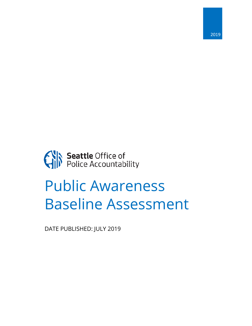

Seattle Office of<br>Police Accountability

# Public Awareness Baseline Assessment

DATE PUBLISHED: JULY 2019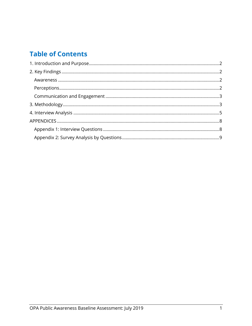# **Table of Contents**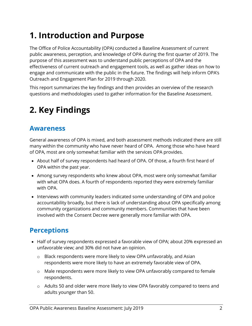# <span id="page-2-0"></span>**1. Introduction and Purpose**

The Office of Police Accountability (OPA) conducted a Baseline Assessment of current public awareness, perception, and knowledge of OPA during the first quarter of 2019. The purpose of this assessment was to understand public perceptions of OPA and the effectiveness of current outreach and engagement tools, as well as gather ideas on how to engage and communicate with the public in the future. The findings will help inform OPA's Outreach and Engagement Plan for 2019 through 2020.

This report summarizes the key findings and then provides an overview of the research questions and methodologies used to gather information for the Baseline Assessment.

# <span id="page-2-1"></span>**2. Key Findings**

### <span id="page-2-2"></span>**Awareness**

General awareness of OPA is mixed, and both assessment methods indicated there are still many within the community who have never heard of OPA. Among those who have heard of OPA, most are only somewhat familiar with the services OPA provides.

- About half of survey respondents had heard of OPA. Of those, a fourth first heard of OPA within the past year.
- Among survey respondents who knew about OPA, most were only somewhat familiar with what OPA does. A fourth of respondents reported they were extremely familiar with OPA.
- Interviews with community leaders indicated some understanding of OPA and police accountability broadly, but there is lack of understanding about OPA specifically among community organizations and community members. Communities that have been involved with the Consent Decree were generally more familiar with OPA.

## <span id="page-2-3"></span>**Perceptions**

- Half of survey respondents expressed a favorable view of OPA; about 20% expressed an unfavorable view; and 30% did not have an opinion.
	- $\circ$  Black respondents were more likely to view OPA unfavorably, and Asian respondents were more likely to have an extremely favorable view of OPA.
	- o Male respondents were more likely to view OPA unfavorably compared to female respondents.
	- o Adults 50 and older were more likely to view OPA favorably compared to teens and adults younger than 50.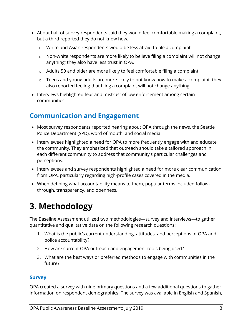- About half of survey respondents said they would feel comfortable making a complaint, but a third reported they do not know how.
	- o White and Asian respondents would be less afraid to file a complaint.
	- o Non-white respondents are more likely to believe filing a complaint will not change anything; they also have less trust in OPA.
	- o Adults 50 and older are more likely to feel comfortable filing a complaint.
	- o Teens and young adults are more likely to not know how to make a complaint; they also reported feeling that filing a complaint will not change anything.
- Interviews highlighted fear and mistrust of law enforcement among certain communities.

# <span id="page-3-0"></span>**Communication and Engagement**

- Most survey respondents reported hearing about OPA through the news, the Seattle Police Department (SPD), word of mouth, and social media.
- Interviewees highlighted a need for OPA to more frequently engage with and educate the community. They emphasized that outreach should take a tailored approach in each different community to address that community's particular challenges and perceptions.
- Interviewees and survey respondents highlighted a need for more clear communication from OPA, particularly regarding high-profile cases covered in the media.
- When defining what accountability means to them, popular terms included followthrough, transparency, and openness.

# <span id="page-3-1"></span>**3. Methodology**

The Baseline Assessment utilized two methodologies—survey and interviews—to gather quantitative and qualitative data on the following research questions:

- 1. What is the public's current understanding, attitudes, and perceptions of OPA and police accountability?
- 2. How are current OPA outreach and engagement tools being used?
- 3. What are the best ways or preferred methods to engage with communities in the future?

#### **Survey**

OPA created a survey with nine primary questions and a few additional questions to gather information on respondent demographics. The survey was available in English and Spanish,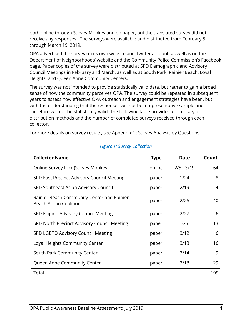both online through Survey Monkey and on paper, but the translated survey did not receive any responses. The surveys were available and distributed from February 5 through March 19, 2019.

OPA advertised the survey on its own website and Twitter account, as well as on the Department of Neighborhoods' website and the Community Police Commission's Facebook page. Paper copies of the survey were distributed at SPD Demographic and Advisory Council Meetings in February and March, as well as at South Park, Rainier Beach, Loyal Heights, and Queen Anne Community Centers.

The survey was not intended to provide statistically valid data, but rather to gain a broad sense of how the community perceives OPA. The survey could be repeated in subsequent years to assess how effective OPA outreach and engagement strategies have been, but with the understanding that the responses will not be a representative sample and therefore will not be statistically valid. The following table provides a summary of distribution methods and the number of completed surveys received through each collector.

For more details on survey results, see [Appendix 2: Survey Analysis by](#page-9-0) Questions.

| <b>Collector Name</b>                                                       | <b>Type</b> | <b>Date</b>  | Count |
|-----------------------------------------------------------------------------|-------------|--------------|-------|
| Online Survey Link (Survey Monkey)                                          | online      | $2/5 - 3/19$ | 64    |
| SPD East Precinct Advisory Council Meeting                                  | paper       | 1/24         | 8     |
| SPD Southeast Asian Advisory Council                                        | paper       | 2/19         | 4     |
| Rainier Beach Community Center and Rainier<br><b>Beach Action Coalition</b> | paper       | 2/26         | 40    |
| SPD Filipino Advisory Council Meeting                                       | paper       | 2/27         | 6     |
| SPD North Precinct Advisory Council Meeting                                 | paper       | 3/6          | 13    |
| SPD LGBTQ Advisory Council Meeting                                          | paper       | 3/12         | 6     |
| Loyal Heights Community Center                                              | paper       | 3/13         | 16    |
| South Park Community Center                                                 | paper       | 3/14         | 9     |
| Queen Anne Community Center                                                 | paper       | 3/18         | 29    |
| Total                                                                       |             |              | 195   |

#### *Figure 1: Survey Collection*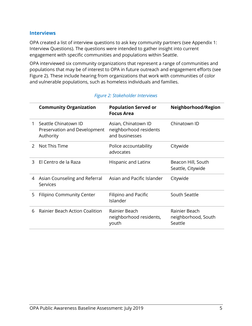#### **Interviews**

OPA created a list of interview questions to ask key community partners (see [Appendix 1:](#page-8-1)  [Interview Questions\)](#page-8-1). The questions were intended to gather insight into current engagement with specific communities and populations within Seattle.

OPA interviewed six community organizations that represent a range of communities and populations that may be of interest to OPA in future outreach and engagement efforts (see Figure 2). These include hearing from organizations that work with communities of color and vulnerable populations, such as homeless individuals and families.

<span id="page-5-0"></span>

|               | <b>Community Organization</b>                                     | <b>Population Served or</b><br><b>Focus Area</b>                | Neighborhood/Region                             |
|---------------|-------------------------------------------------------------------|-----------------------------------------------------------------|-------------------------------------------------|
| 1             | Seattle Chinatown ID<br>Preservation and Development<br>Authority | Asian, Chinatown ID<br>neighborhood residents<br>and businesses | Chinatown ID                                    |
| $\mathcal{P}$ | Not This Time                                                     | Police accountability<br>advocates                              | Citywide                                        |
| 3             | El Centro de la Raza                                              | Hispanic and Latinx                                             | Beacon Hill, South<br>Seattle, Citywide         |
| 4             | Asian Counseling and Referral<br>Services                         | Asian and Pacific Islander                                      | Citywide                                        |
| 5             | <b>Filipino Community Center</b>                                  | Filipino and Pacific<br>Islander                                | South Seattle                                   |
| 6             | <b>Rainier Beach Action Coalition</b>                             | Rainier Beach<br>neighborhood residents,<br>youth               | Rainier Beach<br>neighborhood, South<br>Seattle |

#### *Figure 2: Stakeholder Interviews*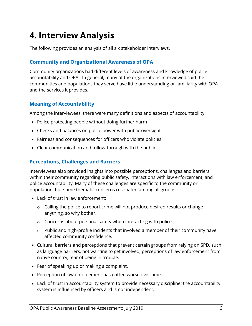# **4. Interview Analysis**

The following provides an analysis of all six stakeholder interviews.

#### **Community and Organizational Awareness of OPA**

Community organizations had different levels of awareness and knowledge of police accountability and OPA. In general, many of the organizations interviewed said the communities and populations they serve have little understanding or familiarity with OPA and the services it provides.

#### **Meaning of Accountability**

Among the interviewees, there were many definitions and aspects of accountability:

- Police protecting people without doing further harm
- Checks and balances on police power with public oversight
- Fairness and consequences for officers who violate policies
- Clear communication and follow-through with the public

#### **Perceptions, Challenges and Barriers**

Interviewees also provided insights into possible perceptions, challenges and barriers within their community regarding public safety, interactions with law enforcement, and police accountability. Many of these challenges are specific to the community or population, but some thematic concerns resonated among all groups:

- Lack of trust in law enforcement:
	- o Calling the police to report crime will not produce desired results or change anything, so why bother.
	- o Concerns about personal safety when interacting with police.
	- o Public and high-profile incidents that involved a member of their community have affected community confidence.
- Cultural barriers and perceptions that prevent certain groups from relying on SPD, such as language barriers, not wanting to get involved, perceptions of law enforcement from native country, fear of being in trouble.
- Fear of speaking up or making a complaint.
- Perception of law enforcement has gotten worse over time.
- Lack of trust in accountability system to provide necessary discipline; the accountability system is influenced by officers and is not independent.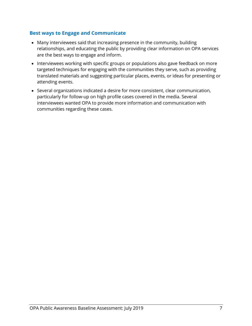#### **Best ways to Engage and Communicate**

- Many interviewees said that increasing presence in the community, building relationships, and educating the public by providing clear information on OPA services are the best ways to engage and inform.
- Interviewees working with specific groups or populations also gave feedback on more targeted techniques for engaging with the communities they serve, such as providing translated materials and suggesting particular places, events, or ideas for presenting or attending events.
- Several organizations indicated a desire for more consistent, clear communication, particularly for follow-up on high profile cases covered in the media. Several interviewees wanted OPA to provide more information and communication with communities regarding these cases.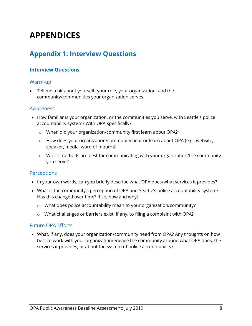# <span id="page-8-0"></span>**APPENDICES**

### <span id="page-8-1"></span>**Appendix 1: Interview Questions**

#### **Interview Questions**

#### Warm-up

• Tell me a bit about yourself- your role, your organization, and the community/communities your organization serves.

#### Awareness

- How familiar is your organization, or the communities you serve, with Seattle's police accountability system? With OPA specifically?
	- o When did your organization/community first learn about OPA?
	- o How does your organization/community hear or learn about OPA (e.g., website, speaker, media, word of mouth)?
	- o Which methods are best for communicating with your organization/the community you serve?

#### **Perceptions**

- In your own words, can you briefly describe what OPA does/what services it provides?
- What is the community's perception of OPA and Seattle's police accountability system? Has this changed over time? If so, how and why?
	- o What does police accountability mean to your organization/community?
	- o What challenges or barriers exist, if any, to filing a complaint with OPA?

#### Future OPA Efforts

• What, if any, does your organization/community need from OPA? Any thoughts on how best to work with your organization/engage the community around what OPA does, the services it provides, or about the system of police accountability?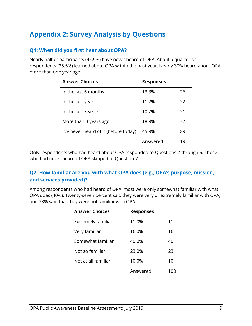## <span id="page-9-0"></span>**Appendix 2: Survey Analysis by Questions**

#### **Q1: When did you first hear about OPA?**

Nearly half of participants (45.9%) have never heard of OPA. About a quarter of respondents (25.5%) learned about OPA within the past year. Nearly 30% heard about OPA more than one year ago.

| <b>Answer Choices</b>                 | <b>Responses</b> |     |
|---------------------------------------|------------------|-----|
| In the last 6 months                  | 13.3%            | 26  |
| In the last year                      | 11.2%            | 22  |
| In the last 3 years                   | 10.7%            | 21  |
| More than 3 years ago                 | 18.9%            | 37  |
| I've never heard of it (before today) | 45.9%            | 89  |
|                                       | Answered         | 195 |

Only respondents who had heard about OPA responded to Questions 2 through 6. Those who had never heard of OPA skipped to Question 7.

#### **Q2: How familiar are you with what OPA does (e.g., OPA's purpose, mission, and services provided)?**

Among respondents who had heard of OPA, most were only somewhat familiar with what OPA does (40%). Twenty-seven percent said they were very or extremely familiar with OPA, and 33% said that they were not familiar with OPA.

| <b>Answer Choices</b> | <b>Responses</b> |    |
|-----------------------|------------------|----|
| Extremely familiar    | 11.0%            | 11 |
| Very familiar         | 16.0%            | 16 |
| Somewhat familiar     | 40.0%            | 40 |
| Not so familiar       | 23.0%            | 23 |
| Not at all familiar   | 10.0%            | 10 |
|                       | Answered         |    |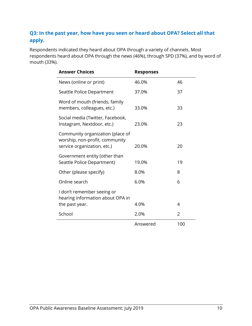### **Q3: In the past year, how have you seen or heard about OPA? Select all that apply.**

Respondents indicated they heard about OPA through a variety of channels. Most respondents heard about OPA through the news (46%), through SPD (37%), and by word of mouth (33%).

| <b>Answer Choices</b>                                                                             | <b>Responses</b> |     |
|---------------------------------------------------------------------------------------------------|------------------|-----|
| News (online or print)                                                                            | 46.0%            | 46  |
| Seattle Police Department                                                                         | 37.0%            | 37  |
| Word of mouth (friends, family<br>members, colleagues, etc.)                                      | 33.0%            | 33  |
| Social media (Twitter, Facebook,<br>Instagram, Nextdoor, etc.)                                    | 23.0%            | 23  |
| Community organization (place of<br>worship, non-profit, community<br>service organization, etc.) | 20.0%            | 20  |
| Government entity (other than<br>Seattle Police Department)                                       | 19.0%            | 19  |
| Other (please specify)                                                                            | 8.0%             | 8   |
| Online search                                                                                     | 6.0%             | 6   |
| I don't remember seeing or<br>hearing information about OPA in                                    |                  |     |
| the past year.                                                                                    | 4.0%             | 4   |
| School                                                                                            | 2.0%             | 2   |
|                                                                                                   | Answered         | 100 |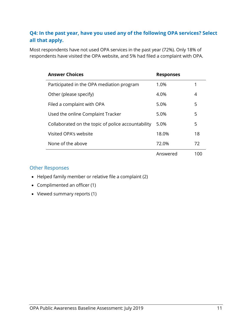#### **Q4: In the past year, have you used any of the following OPA services? Select all that apply.**

Most respondents have not used OPA services in the past year (72%). Only 18% of respondents have visited the OPA website, and 5% had filed a complaint with OPA.

| <b>Answer Choices</b>                              | <b>Responses</b> |     |
|----------------------------------------------------|------------------|-----|
| Participated in the OPA mediation program          | 1.0%             | 1   |
| Other (please specify)                             | 4.0%             | 4   |
| Filed a complaint with OPA                         | 5.0%             | 5   |
| Used the online Complaint Tracker                  | 5.0%             | 5   |
| Collaborated on the topic of police accountability | 5.0%             | 5   |
| Visited OPA's website                              | 18.0%            | 18  |
| None of the above                                  | 72.0%            | 72  |
|                                                    | Answered         | 100 |

#### Other Responses

- Helped family member or relative file a complaint (2)
- Complimented an officer (1)
- Viewed summary reports (1)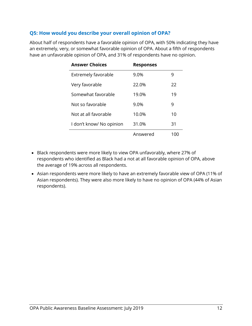#### **Q5: How would you describe your overall opinion of OPA?**

About half of respondents have a favorable opinion of OPA, with 50% indicating they have an extremely, very, or somewhat favorable opinion of OPA. About a fifth of respondents have an unfavorable opinion of OPA, and 31% of respondents have no opinion.

| <b>Answer Choices</b>    | <b>Responses</b> |    |
|--------------------------|------------------|----|
| Extremely favorable      | 9.0%             | 9  |
| Very favorable           | 22.0%            | 22 |
| Somewhat favorable       | 19.0%            | 19 |
| Not so favorable         | 9.0%             | 9  |
| Not at all favorable     | 10.0%            | 10 |
| I don't know/ No opinion | 31.0%            | 31 |
|                          | Answered         | UD |

- Black respondents were more likely to view OPA unfavorably, where 27% of respondents who identified as Black had a not at all favorable opinion of OPA, above the average of 19% across all respondents.
- Asian respondents were more likely to have an extremely favorable view of OPA (11% of Asian respondents). They were also more likely to have no opinion of OPA (44% of Asian respondents).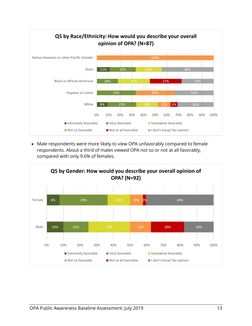

• Male respondents were more likely to view OPA unfavorably compared to female respondents. About a third of males viewed OPA not so or not at all favorably, compared with only 9.6% of females.

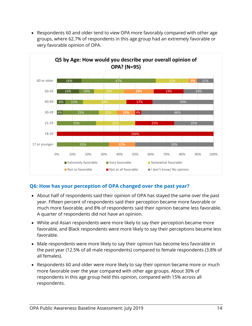

• Respondents 60 and older tend to view OPA more favorably compared with other age groups, where 62.7% of respondents in this age group had an extremely favorable or very favorable opinion of OPA.

#### **Q6: How has your perception of OPA changed over the past year?**

- About half of respondents said their opinion of OPA has stayed the same over the past year. Fifteen percent of respondents said their perception became more favorable or much more favorable, and 8% of respondents said their opinion became less favorable. A quarter of respondents did not have an opinion.
- White and Asian respondents were more likely to say their perception became more favorable, and Black respondents were more likely to say their perceptions became less favorable.
- Male respondents were more likely to say their opinion has become less favorable in the past year (12.5% of all male respondents) compared to female respondents (3.8% of all females).
- Respondents 60 and older were more likely to say their opinion became more or much more favorable over the year compared with other age groups. About 30% of respondents in this age group held this opinion, compared with 15% across all respondents.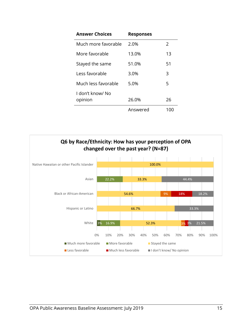| <b>Answer Choices</b>       | <b>Responses</b> |     |
|-----------------------------|------------------|-----|
| Much more favorable         | 2.0%             | 2   |
| More favorable              | 13.0%            | 13  |
| Stayed the same             | 51.0%            | 51  |
| Less favorable              | 3.0%             | 3   |
| Much less favorable         | 5.0%             | 5   |
| I don't know/ No<br>opinion | 26.0%            | 26  |
|                             | Answered         | 100 |

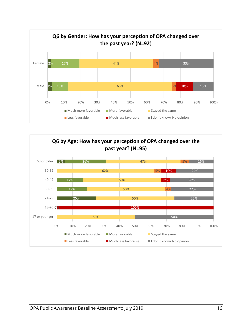

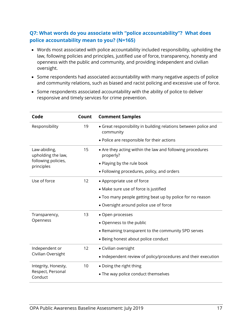#### **Q7: What words do you associate with "police accountability"? What does police accountability mean to you? (N=165)**

- Words most associated with police accountability included responsibility, upholding the law, following policies and principles, justified use of force, transparency, honesty and openness with the public and community, and providing independent and civilian oversight.
- Some respondents had associated accountability with many negative aspects of police and community relations, such as biased and racist policing and excessive use of force.
- Some respondents associated accountability with the ability of police to deliver responsive and timely services for crime prevention.

| Code                               | Count | <b>Comment Samples</b>                                                       |
|------------------------------------|-------|------------------------------------------------------------------------------|
| Responsibility                     | 19    | • Great responsibility in building relations between police and<br>community |
|                                    |       | • Police are responsible for their actions                                   |
| Law-abiding,<br>upholding the law, | 15    | • Are they acting within the law and following procedures<br>properly?       |
| following policies,<br>principles  |       | • Playing by the rule book                                                   |
|                                    |       | • Following procedures, policy, and orders                                   |
| Use of force                       | 12    | • Appropriate use of force                                                   |
|                                    |       | • Make sure use of force is justified                                        |
|                                    |       | • Too many people getting beat up by police for no reason                    |
|                                    |       | • Oversight around police use of force                                       |
| Transparency,                      | 13    | • Open processes                                                             |
| Openness                           |       | • Openness to the public                                                     |
|                                    |       | • Remaining transparent to the community SPD serves                          |
|                                    |       | • Being honest about police conduct                                          |
| Independent or                     | 12    | • Civilian oversight                                                         |
| Civilian Oversight                 |       | • Independent review of policy/procedures and their execution                |
| Integrity, Honesty,                | 10    | • Doing the right thing                                                      |
| Respect, Personal<br>Conduct       |       | • The way police conduct themselves                                          |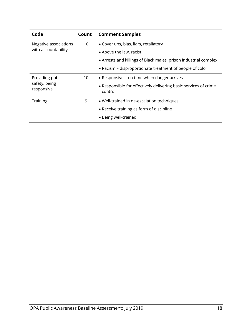| Code                                            | Count | <b>Comment Samples</b>                                                      |
|-------------------------------------------------|-------|-----------------------------------------------------------------------------|
| Negative associations                           | 10    | • Cover ups, bias, liars, retaliatory                                       |
| with accountability                             |       | • Above the law, racist                                                     |
|                                                 |       | • Arrests and killings of Black males, prison industrial complex            |
|                                                 |       | • Racism – disproportionate treatment of people of color                    |
| Providing public<br>safety, being<br>responsive | 10    | • Responsive - on time when danger arrives                                  |
|                                                 |       | • Responsible for effectively delivering basic services of crime<br>control |
| Training                                        | 9     | • Well-trained in de-escalation techniques                                  |
|                                                 |       | • Receive training as form of discipline                                    |
|                                                 |       | • Being well-trained                                                        |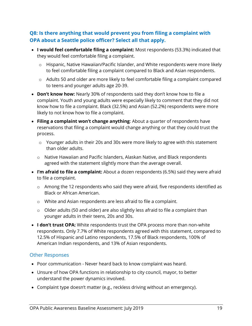#### **Q8: Is there anything that would prevent you from filing a complaint with OPA about a Seattle police officer? Select all that apply.**

- **I would feel comfortable filing a complaint:** Most respondents (53.3%) indicated that they would feel comfortable filing a complaint.
	- o Hispanic, Native Hawaiian/Pacific Islander, and White respondents were more likely to feel comfortable filing a complaint compared to Black and Asian respondents.
	- o Adults 50 and older are more likely to feel comfortable filing a complaint compared to teens and younger adults age 20-39.
- **Don't know how:** Nearly 30% of respondents said they don't know how to file a complaint. Youth and young adults were especially likely to comment that they did not know how to file a complaint. Black (32.5%) and Asian (52.2%) respondents were more likely to not know how to file a complaint.
- **Filing a complaint won't change anything**: About a quarter of respondents have reservations that filing a complaint would change anything or that they could trust the process.
	- o Younger adults in their 20s and 30s were more likely to agree with this statement than older adults.
	- o Native Hawaiian and Pacific Islanders, Alaskan Native, and Black respondents agreed with the statement slightly more than the average overall.
- **I'm afraid to file a complaint:** About a dozen respondents (6.5%) said they were afraid to file a complaint.
	- o Among the 12 respondents who said they were afraid, five respondents identified as Black or African American.
	- o White and Asian respondents are less afraid to file a complaint.
	- o Older adults (50 and older) are also slightly less afraid to file a complaint than younger adults in their teens, 20s and 30s.
- **I don't trust OPA:** White respondents trust the OPA process more than non-white respondents. Only 7.7% of White respondents agreed with this statement, compared to 12.5% of Hispanic and Latino respondents, 17.5% of Black respondents, 100% of American Indian respondents, and 13% of Asian respondents.

#### Other Responses

- Poor communication Never heard back to know complaint was heard.
- Unsure of how OPA functions in relationship to city council, mayor, to better understand the power dynamics involved.
- Complaint type doesn't matter (e.g., reckless driving without an emergency).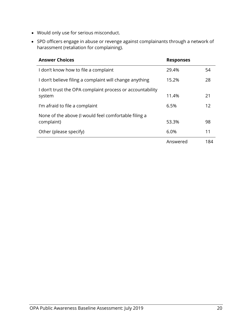- Would only use for serious misconduct.
- SPD officers engage in abuse or revenge against complainants through a network of harassment (retaliation for complaining).

| <b>Answer Choices</b>                                               | <b>Responses</b> |     |
|---------------------------------------------------------------------|------------------|-----|
| I don't know how to file a complaint                                | 29.4%            | 54  |
| I don't believe filing a complaint will change anything             | 15.2%            | 28  |
| I don't trust the OPA complaint process or accountability<br>system | 11.4%            | 21  |
| I'm afraid to file a complaint                                      | 6.5%             | 12  |
| None of the above (I would feel comfortable filing a<br>complaint)  | 53.3%            | 98  |
| Other (please specify)                                              | 6.0%             | 11  |
|                                                                     | Answered         | 184 |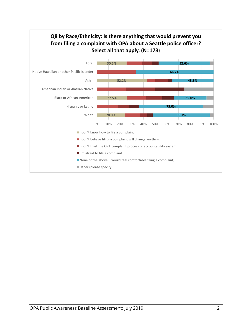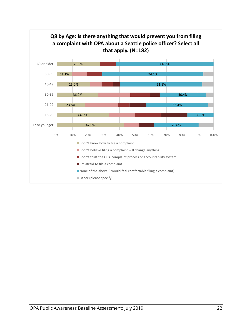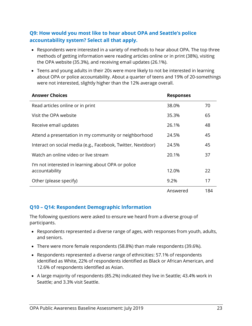#### **Q9: How would you most like to hear about OPA and Seattle's police accountability system? Select all that apply.**

- Respondents were interested in a variety of methods to hear about OPA. The top three methods of getting information were reading articles online or in print (38%), visiting the OPA website (35.3%), and receiving email updates (26.1%).
- Teens and young adults in their 20s were more likely to not be interested in learning about OPA or police accountability. About a quarter of teens and 19% of 20-somethings were not interested, slightly higher than the 12% average overall.

| <b>Answer Choices</b>                                                | <b>Responses</b> |     |
|----------------------------------------------------------------------|------------------|-----|
| Read articles online or in print                                     | 38.0%            | 70  |
| Visit the OPA website                                                | 35.3%            | 65  |
| Receive email updates                                                | 26.1%            | 48  |
| Attend a presentation in my community or neighborhood                | 24.5%            | 45  |
| Interact on social media (e.g., Facebook, Twitter, Nextdoor)         | 24.5%            | 45  |
| Watch an online video or live stream                                 | 20.1%            | 37  |
| I'm not interested in learning about OPA or police<br>accountability | 12.0%            | 22  |
| Other (please specify)                                               | 9.2%             | 17  |
|                                                                      | Answered         | 184 |

#### **Q10 – Q14: Respondent Demographic Information**

The following questions were asked to ensure we heard from a diverse group of participants.

- Respondents represented a diverse range of ages, with responses from youth, adults, and seniors.
- There were more female respondents (58.8%) than male respondents (39.6%).
- Respondents represented a diverse range of ethnicities: 57.1% of respondents identified as White, 22% of respondents identified as Black or African American, and 12.6% of respondents identified as Asian.
- A large majority of respondents (85.2%) indicated they live in Seattle; 43.4% work in Seattle; and 3.3% visit Seattle.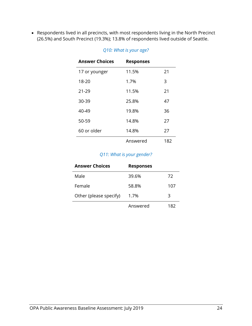• Respondents lived in all precincts, with most respondents living in the North Precinct (26.5%) and South Precinct (19.3%); 13.8% of respondents lived outside of Seattle.

| <b>Answer Choices</b> | <b>Responses</b> |     |
|-----------------------|------------------|-----|
| 17 or younger         | 11.5%            | 21  |
| 18-20                 | 1.7%             | 3   |
| $21 - 29$             | 11.5%            | 21  |
| 30-39                 | 25.8%            | 47  |
| 40-49                 | 19.8%            | 36  |
| 50-59                 | 14.8%            | 27  |
| 60 or older           | 14.8%            | 27  |
|                       | Answered         | 182 |

#### *Q10: What is your age?*

#### *Q11: What is your gender?*

| <b>Answer Choices</b>  | <b>Responses</b> |     |
|------------------------|------------------|-----|
| Male                   | 39.6%            | 72  |
| Female                 | 58.8%            | 107 |
| Other (please specify) | 1.7%             | 3   |
|                        | Answered         | 82  |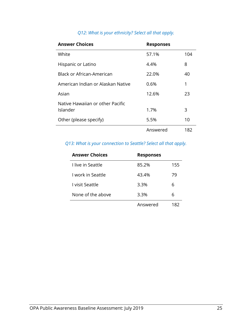| <b>Answer Choices</b>             | <b>Responses</b> |     |
|-----------------------------------|------------------|-----|
| White                             | 57.1%            | 104 |
| Hispanic or Latino                | 4.4%             | 8   |
| <b>Black or African-American</b>  | 22.0%            | 40  |
| American Indian or Alaskan Native | 0.6%             | 1   |
| Asian                             | 12.6%            | 23  |
| Native Hawaiian or other Pacific  |                  |     |
| Islander                          | 1.7%             | 3   |
| Other (please specify)            | 5.5%             | 10  |
|                                   | Answered         | 182 |

### *Q12: What is your ethnicity? Select all that apply.*

#### *Q13: What is your connection to Seattle? Select all that apply.*

| <b>Answer Choices</b>  | <b>Responses</b> |     |
|------------------------|------------------|-----|
| I live in Seattle      | 85.2%            | 155 |
| I work in Seattle      | 43.4%            | 79  |
| <u>l visit Seattle</u> | 3.3%             | 6   |
| None of the above      | 3.3%             | 6   |
|                        | Answered         | 182 |